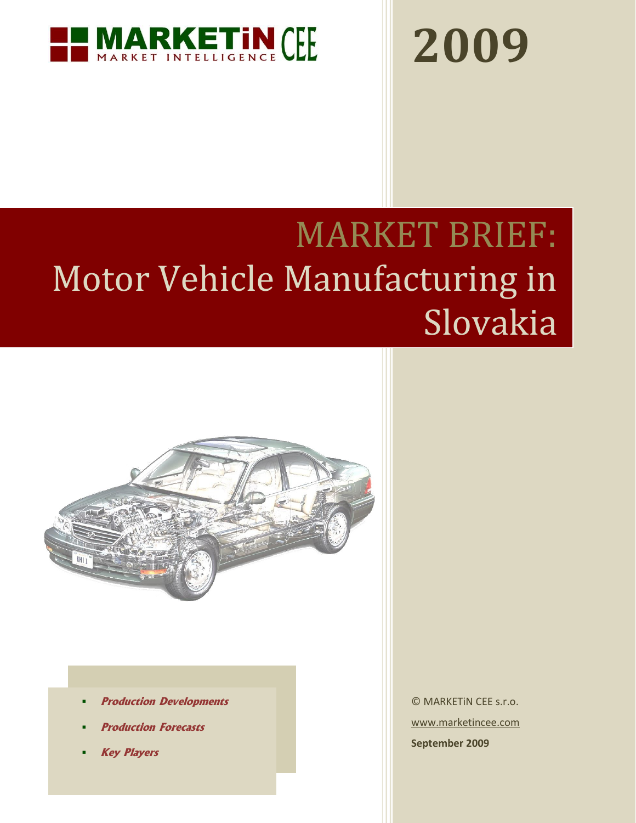

# **2009**

# MARKET BRIEF: Motor Vehicle Manufacturing in **Slovakia**



- **Production Developments**
- **Production Forecasts**
- **Key Players**

© MARKETiN CEE s.r.o. [www.marketincee.com](http://www.marketincee.com/) **September 2009**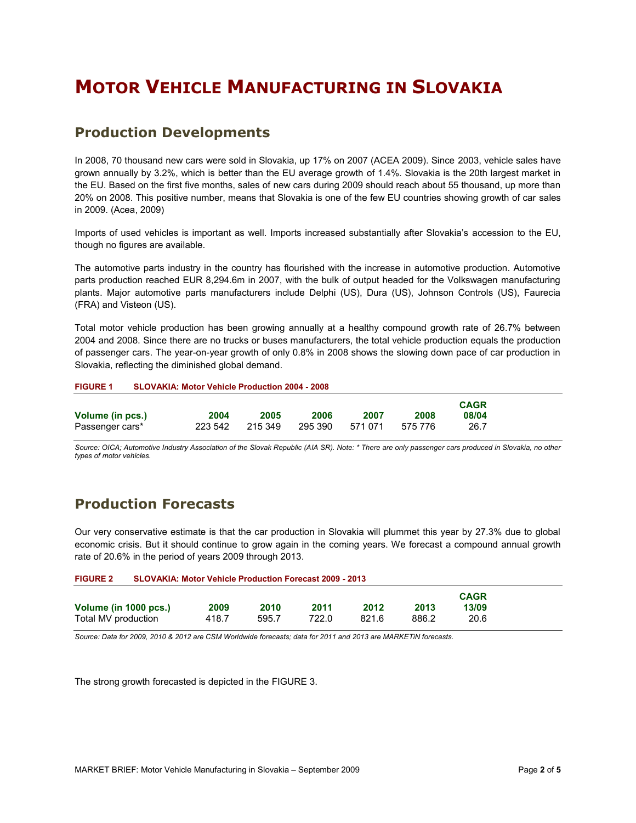## **MOTOR VEHICLE MANUFACTURING IN SLOVAKIA**

#### **Production Developments**

In 2008, 70 thousand new cars were sold in Slovakia, up 17% on 2007 (ACEA 2009). Since 2003, vehicle sales have grown annually by 3.2%, which is better than the EU average growth of 1.4%. Slovakia is the 20th largest market in the EU. Based on the first five months, sales of new cars during 2009 should reach about 55 thousand, up more than 20% on 2008. This positive number, means that Slovakia is one of the few EU countries showing growth of car sales in 2009. (Acea, 2009)

Imports of used vehicles is important as well. Imports increased substantially after Slovakia's accession to the EU, though no figures are available.

The automotive parts industry in the country has flourished with the increase in automotive production. Automotive parts production reached EUR 8,294.6m in 2007, with the bulk of output headed for the Volkswagen manufacturing plants. Major automotive parts manufacturers include Delphi (US), Dura (US), Johnson Controls (US), Faurecia (FRA) and Visteon (US).

Total motor vehicle production has been growing annually at a healthy compound growth rate of 26.7% between 2004 and 2008. Since there are no trucks or buses manufacturers, the total vehicle production equals the production of passenger cars. The year-on-year growth of only 0.8% in 2008 shows the slowing down pace of car production in Slovakia, reflecting the diminished global demand.

| <b>SLOVAKIA: Motor Vehicle Production 2004 - 2008</b><br><b>FIGURE 1</b> |  |
|--------------------------------------------------------------------------|--|
|--------------------------------------------------------------------------|--|

|                  |         |         |         |         |         | <b>CAGR</b> |  |
|------------------|---------|---------|---------|---------|---------|-------------|--|
| Volume (in pcs.) | 2004    | 2005    | 2006    | 2007    | 2008    | 08/04       |  |
| Passenger cars*  | 223 542 | 215 349 | 295 390 | 571 071 | 575 776 | 26.7        |  |

*Source: OICA; Automotive Industry Association of the Slovak Republic (AIA SR). Note: \* There are only passenger cars produced in Slovakia, no other types of motor vehicles.*

#### **Production Forecasts**

Our very conservative estimate is that the car production in Slovakia will plummet this year by 27.3% due to global economic crisis. But it should continue to grow again in the coming years. We forecast a compound annual growth rate of 20.6% in the period of years 2009 through 2013.

| <b>FIGURE 2</b>       | <b>SLOVAKIA: Motor Vehicle Production Forecast 2009 - 2013</b> |       |       |       |       |             |  |
|-----------------------|----------------------------------------------------------------|-------|-------|-------|-------|-------------|--|
|                       |                                                                |       |       |       |       | <b>CAGR</b> |  |
| Volume (in 1000 pcs.) | 2009                                                           | 2010  | 2011  | 2012  | 2013  | 13/09       |  |
| Total MV production   | 418.7                                                          | 595.7 | 722.0 | 821.6 | 886.2 | 20.6        |  |

*Source: Data for 2009, 2010 & 2012 are CSM Worldwide forecasts; data for 2011 and 2013 are MARKETiN forecasts.*

<span id="page-1-0"></span>The strong growth forecasted is depicted in th[e FIGURE 3.](#page-1-0)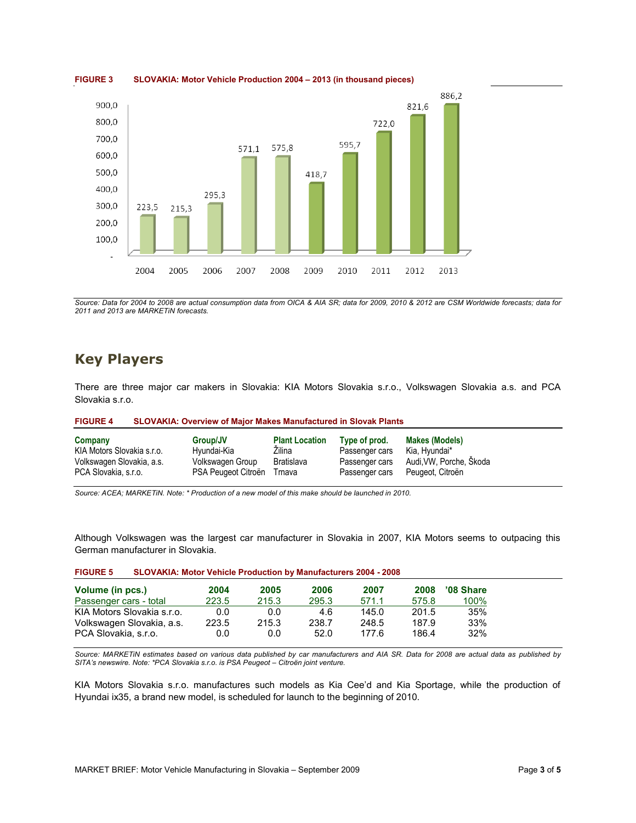

**FIGURE 3 SLOVAKIA: Motor Vehicle Production 2004 – 2013 (in thousand pieces)**

*Source: Data for 2004 to 2008 are actual consumption data from OICA & AIA SR; data for 2009, 2010 & 2012 are CSM Worldwide forecasts; data for 2011 and 2013 are MARKETiN forecasts.*

#### **Key Players**

There are three major car makers in Slovakia: KIA Motors Slovakia s.r.o., Volkswagen Slovakia a.s. and PCA Slovakia s.r.o.

| <b>FIGURE 4</b><br><b>SLOVAKIA: Overview of Major Makes Manufactured in Slovak Plants</b> |                     |                       |                |                         |  |
|-------------------------------------------------------------------------------------------|---------------------|-----------------------|----------------|-------------------------|--|
| Company                                                                                   | Group/JV            | <b>Plant Location</b> | Type of prod.  | <b>Makes (Models)</b>   |  |
| KIA Motors Slovakia s.r.o.                                                                | Hyundai-Kia         | Zilina                | Passenger cars | Kia, Hyundai*           |  |
| Volkswagen Slovakia, a.s.                                                                 | Volkswagen Group    | Bratislava            | Passenger cars | Audi, VW, Porche, Škoda |  |
| PCA Slovakia, s.r.o.                                                                      | PSA Peugeot Citroën | Trnava                | Passenger cars | Peugeot, Citroën        |  |

*Source: ACEA; MARKETiN. Note: \* Production of a new model of this make should be launched in 2010.*

Although Volkswagen was the largest car manufacturer in Slovakia in 2007, KIA Motors seems to outpacing this German manufacturer in Slovakia.

| Volume (in pcs.)           | 2004  | 2005  | 2006  | 2007  | 2008  | '08 Share |
|----------------------------|-------|-------|-------|-------|-------|-----------|
| Passenger cars - total     | 223.5 | 215.3 | 295.3 | 571.1 | 575.8 | 100%      |
| KIA Motors Slovakia s.r.o. | 0.0   | 0.0   | 4.6   | 145.0 | 201.5 | 35%       |
| Volkswagen Slovakia, a.s.  | 223.5 | 215.3 | 238.7 | 248.5 | 187.9 | 33%       |
| PCA Slovakia, s.r.o.       | 0.0   | 0.0   | 52.0  | 177.6 | 186.4 | 32%       |

| <b>FIGURE 5</b> | <b>SLOVAKIA: Motor Vehicle Production by Manufacturers 2004 - 2008</b> |  |
|-----------------|------------------------------------------------------------------------|--|
|-----------------|------------------------------------------------------------------------|--|

*Source: MARKETiN estimates based on various data published by car manufacturers and AIA SR. Data for 2008 are actual data as published by SITA's newswire. Note: \*PCA Slovakia s.r.o. is PSA Peugeot – Citroën joint venture.*

KIA Motors Slovakia s.r.o. manufactures such models as Kia Cee'd and Kia Sportage, while the production of Hyundai ix35, a brand new model, is scheduled for launch to the beginning of 2010.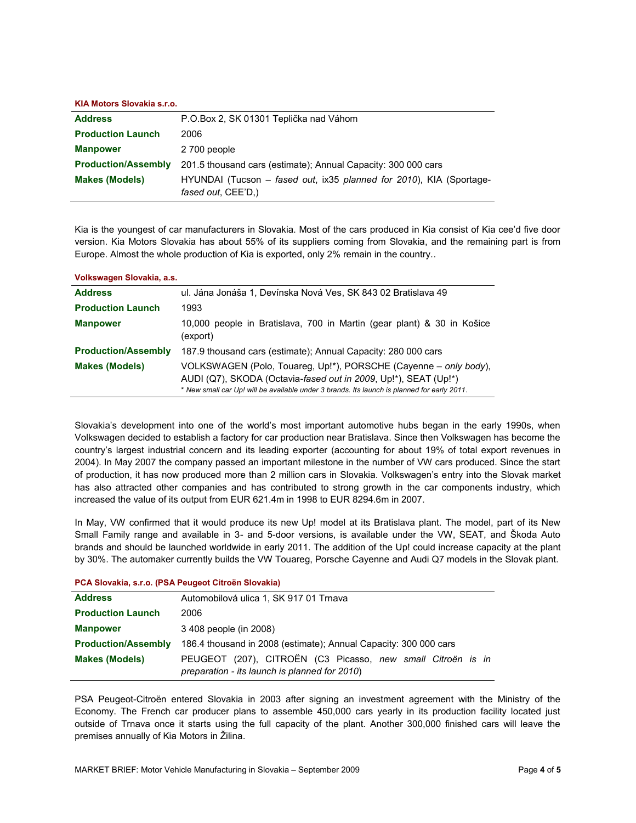#### **KIA Motors Slovakia s.r.o.**

| <b>Address</b>             | P.O.Box 2, SK 01301 Teplička nad Váhom                                                    |
|----------------------------|-------------------------------------------------------------------------------------------|
| <b>Production Launch</b>   | 2006                                                                                      |
| <b>Manpower</b>            | 2 700 people                                                                              |
| <b>Production/Assembly</b> | 201.5 thousand cars (estimate); Annual Capacity: 300 000 cars                             |
| <b>Makes (Models)</b>      | HYUNDAI (Tucson – fased out, ix35 planned for 2010), KIA (Sportage-<br>fased out, CEE'D,) |

Kia is the youngest of car manufacturers in Slovakia. Most of the cars produced in Kia consist of Kia cee'd five door version. Kia Motors Slovakia has about 55% of its suppliers coming from Slovakia, and the remaining part is from Europe. Almost the whole production of Kia is exported, only 2% remain in the country..

| Volkswagen Slovakia, a.s.  |                                                                                                                                                                                                                                    |
|----------------------------|------------------------------------------------------------------------------------------------------------------------------------------------------------------------------------------------------------------------------------|
| <b>Address</b>             | ul. Jána Jonáša 1, Devínska Nová Ves, SK 843 02 Bratislava 49                                                                                                                                                                      |
| <b>Production Launch</b>   | 1993                                                                                                                                                                                                                               |
| <b>Manpower</b>            | 10,000 people in Bratislava, 700 in Martin (gear plant) & 30 in Košice<br>(export)                                                                                                                                                 |
| <b>Production/Assembly</b> | 187.9 thousand cars (estimate); Annual Capacity: 280 000 cars                                                                                                                                                                      |
| <b>Makes (Models)</b>      | VOLKSWAGEN (Polo, Touareg, Up!*), PORSCHE (Cayenne – only body),<br>AUDI (Q7), SKODA (Octavia-fased out in 2009, Up!*), SEAT (Up!*)<br>* New small car Up! will be available under 3 brands. Its launch is planned for early 2011. |

Slovakia's development into one of the world's most important automotive hubs began in the early 1990s, when Volkswagen decided to establish a factory for car production near Bratislava. Since then Volkswagen has become the country's largest industrial concern and its leading exporter (accounting for about 19% of total export revenues in 2004). In May 2007 the company passed an important milestone in the number of VW cars produced. Since the start of production, it has now produced more than 2 million cars in Slovakia. Volkswagen's entry into the Slovak market has also attracted other companies and has contributed to strong growth in the car components industry, which increased the value of its output from EUR 621.4m in 1998 to EUR 8294.6m in 2007.

In May, VW confirmed that it would produce its new Up! model at its Bratislava plant. The model, part of its New Small Family range and available in 3- and 5-door versions, is available under the VW, SEAT, and Škoda Auto brands and should be launched worldwide in early 2011. The addition of the Up! could increase capacity at the plant by 30%. The automaker currently builds the VW Touareg, Porsche Cayenne and Audi Q7 models in the Slovak plant.

| PCA Slovakia, s.r.o. (PSA Peugeot Citroen Slovakia) |                                                                                                              |  |  |  |
|-----------------------------------------------------|--------------------------------------------------------------------------------------------------------------|--|--|--|
| <b>Address</b>                                      | Automobilová ulica 1, SK 917 01 Trnava                                                                       |  |  |  |
| <b>Production Launch</b>                            | 2006                                                                                                         |  |  |  |
| <b>Manpower</b>                                     | 3 408 people (in 2008)                                                                                       |  |  |  |
| <b>Production/Assembly</b>                          | 186.4 thousand in 2008 (estimate); Annual Capacity: 300 000 cars                                             |  |  |  |
| <b>Makes (Models)</b>                               | PEUGEOT (207), CITROËN (C3 Picasso, new small Citroën is in<br>preparation - its launch is planned for 2010) |  |  |  |

PSA Peugeot-Citroën entered Slovakia in 2003 after signing an investment agreement with the Ministry of the Economy. The French car producer plans to assemble 450,000 cars yearly in its production facility located just outside of Trnava once it starts using the full capacity of the plant. Another 300,000 finished cars will leave the premises annually of Kia Motors in Žilina.

**PCA Slovakia, s.r.o. (PSA Peugeot Citroën Slovakia)**